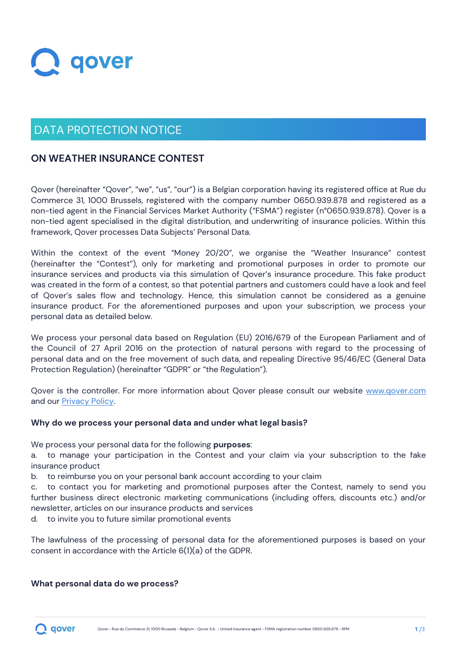

# DATA PROTECTION NOTICE

## **ON WEATHER INSURANCE CONTEST**

Qover (hereinafter "Qover", "we", "us", "our") is a Belgian corporation having its registered office at Rue du Commerce 31, 1000 Brussels, registered with the company number 0650.939.878 and registered as a non-tied agent in the Financial Services Market Authority ("FSMA") register (n°0650.939.878). Qover is a non-tied agent specialised in the digital distribution, and underwriting of insurance policies. Within this framework, Qover processes Data Subjects' Personal Data.

Within the context of the event "Money 20/20", we organise the "Weather Insurance" contest (hereinafter the "Contest"), only for marketing and promotional purposes in order to promote our insurance services and products via this simulation of Qover's insurance procedure. This fake product was created in the form of a contest, so that potential partners and customers could have a look and feel of Qover's sales flow and technology. Hence, this simulation cannot be considered as a genuine insurance product. For the aforementioned purposes and upon your subscription, we process your personal data as detailed below.

We process your personal data based on Regulation (EU) 2016/679 of the European Parliament and of the Council of 27 April 2016 on the protection of natural persons with regard to the processing of personal data and on the free movement of such data, and repealing Directive 95/46/EC (General Data Protection Regulation) (hereinafter "GDPR" or "the Regulation").

Qover is the controller. For more information about Qover please consult our website [www.qover.com](https://www.qover.com/) and our [Privacy Policy.](https://www.qover.com/terms-and-policies)

## **Why do we process your personal data and under what legal basis?**

We process your personal data for the following **purposes**:

a. to manage your participation in the Contest and your claim via your subscription to the fake insurance product

b. to reimburse you on your personal bank account according to your claim

c. to contact you for marketing and promotional purposes after the Contest, namely to send you further business direct electronic marketing communications (including offers, discounts etc.) and/or newsletter, articles on our insurance products and services

d. to invite you to future similar promotional events

The lawfulness of the processing of personal data for the aforementioned purposes is based on your consent in accordance with the Article 6(1)(a) of the GDPR.

## **What personal data do we process?**

qover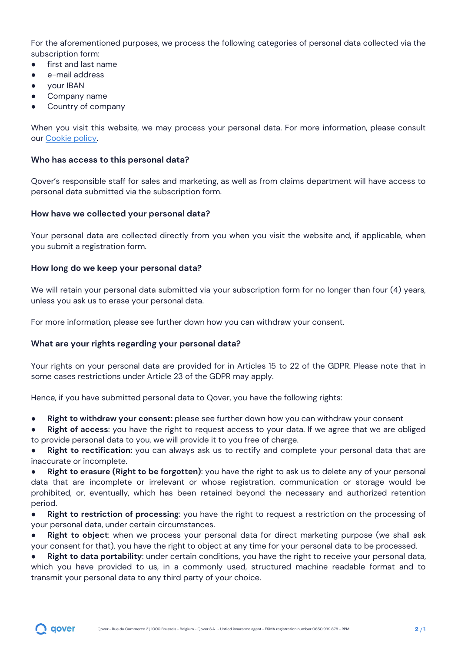For the aforementioned purposes, we process the following categories of personal data collected via the subscription form:

- first and last name
- e-mail address
- your IBAN
- Company name
- Country of company

When you visit this website, we may process your personal data. For more information, please consult our [Cookie policy.](https://www.qover.com/terms-and-policies)

#### **Who has access to this personal data?**

Qover's responsible staff for sales and marketing, as well as from claims department will have access to personal data submitted via the subscription form.

#### **How have we collected your personal data?**

Your personal data are collected directly from you when you visit the website and, if applicable, when you submit a registration form.

#### **How long do we keep your personal data?**

We will retain your personal data submitted via your subscription form for no longer than four (4) years, unless you ask us to erase your personal data.

For more information, please see further down how you can withdraw your consent.

#### **What are your rights regarding your personal data?**

Your rights on your personal data are provided for in Articles 15 to 22 of the GDPR. Please note that in some cases restrictions under Article 23 of the GDPR may apply.

Hence, if you have submitted personal data to Qover, you have the following rights:

**Right to withdraw your consent:** please see further down how you can withdraw your consent

**Right of access**: you have the right to request access to your data. If we agree that we are obliged to provide personal data to you, we will provide it to you free of charge.

**Right to rectification:** you can always ask us to rectify and complete your personal data that are inaccurate or incomplete.

**Right to erasure (Right to be forgotten)**: you have the right to ask us to delete any of your personal data that are incomplete or irrelevant or whose registration, communication or storage would be prohibited, or, eventually, which has been retained beyond the necessary and authorized retention period.

**Right to restriction of processing**: you have the right to request a restriction on the processing of your personal data, under certain circumstances.

**Right to object**: when we process your personal data for direct marketing purpose (we shall ask your consent for that), you have the right to object at any time for your personal data to be processed.

**Right to data portability**: under certain conditions, you have the right to receive your personal data, which you have provided to us, in a commonly used, structured machine readable format and to transmit your personal data to any third party of your choice.

qover